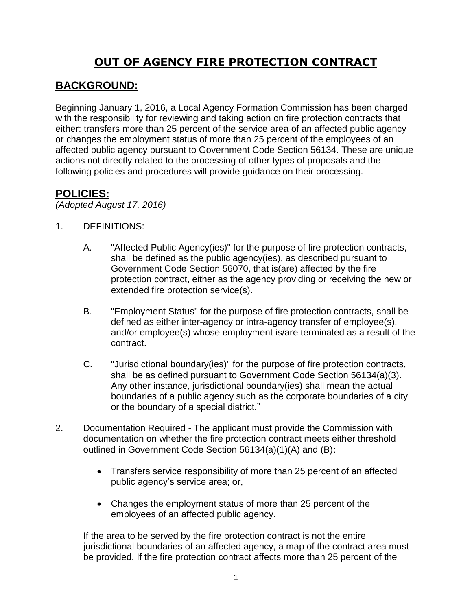# **OUT OF AGENCY FIRE PROTECTION CONTRACT**

## **BACKGROUND:**

Beginning January 1, 2016, a Local Agency Formation Commission has been charged with the responsibility for reviewing and taking action on fire protection contracts that either: transfers more than 25 percent of the service area of an affected public agency or changes the employment status of more than 25 percent of the employees of an affected public agency pursuant to Government Code Section 56134. These are unique actions not directly related to the processing of other types of proposals and the following policies and procedures will provide guidance on their processing.

#### **POLICIES:**

*(Adopted August 17, 2016)*

- 1. DEFINITIONS:
	- A. "Affected Public Agency(ies)" for the purpose of fire protection contracts, shall be defined as the public agency(ies), as described pursuant to Government Code Section 56070, that is(are) affected by the fire protection contract, either as the agency providing or receiving the new or extended fire protection service(s).
	- B. "Employment Status" for the purpose of fire protection contracts, shall be defined as either inter-agency or intra-agency transfer of employee(s), and/or employee(s) whose employment is/are terminated as a result of the contract.
	- C. "Jurisdictional boundary(ies)" for the purpose of fire protection contracts, shall be as defined pursuant to Government Code Section 56134(a)(3). Any other instance, jurisdictional boundary(ies) shall mean the actual boundaries of a public agency such as the corporate boundaries of a city or the boundary of a special district."
- 2. Documentation Required The applicant must provide the Commission with documentation on whether the fire protection contract meets either threshold outlined in Government Code Section 56134(a)(1)(A) and (B):
	- Transfers service responsibility of more than 25 percent of an affected public agency's service area; or,
	- Changes the employment status of more than 25 percent of the employees of an affected public agency.

If the area to be served by the fire protection contract is not the entire jurisdictional boundaries of an affected agency, a map of the contract area must be provided. If the fire protection contract affects more than 25 percent of the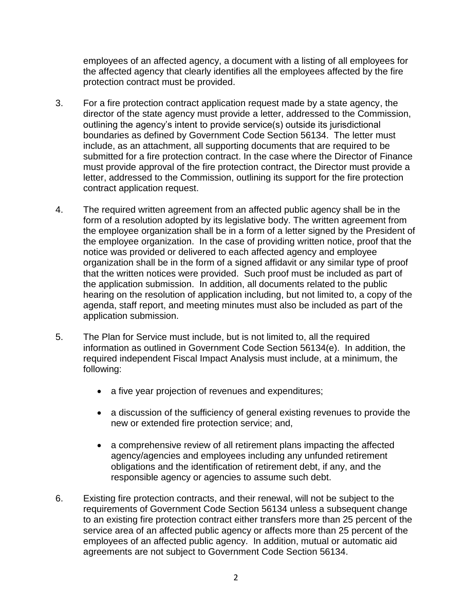employees of an affected agency, a document with a listing of all employees for the affected agency that clearly identifies all the employees affected by the fire protection contract must be provided.

- 3. For a fire protection contract application request made by a state agency, the director of the state agency must provide a letter, addressed to the Commission, outlining the agency's intent to provide service(s) outside its jurisdictional boundaries as defined by Government Code Section 56134. The letter must include, as an attachment, all supporting documents that are required to be submitted for a fire protection contract. In the case where the Director of Finance must provide approval of the fire protection contract, the Director must provide a letter, addressed to the Commission, outlining its support for the fire protection contract application request.
- 4. The required written agreement from an affected public agency shall be in the form of a resolution adopted by its legislative body. The written agreement from the employee organization shall be in a form of a letter signed by the President of the employee organization. In the case of providing written notice, proof that the notice was provided or delivered to each affected agency and employee organization shall be in the form of a signed affidavit or any similar type of proof that the written notices were provided. Such proof must be included as part of the application submission. In addition, all documents related to the public hearing on the resolution of application including, but not limited to, a copy of the agenda, staff report, and meeting minutes must also be included as part of the application submission.
- 5. The Plan for Service must include, but is not limited to, all the required information as outlined in Government Code Section 56134(e). In addition, the required independent Fiscal Impact Analysis must include, at a minimum, the following:
	- a five year projection of revenues and expenditures;
	- a discussion of the sufficiency of general existing revenues to provide the new or extended fire protection service; and,
	- a comprehensive review of all retirement plans impacting the affected agency/agencies and employees including any unfunded retirement obligations and the identification of retirement debt, if any, and the responsible agency or agencies to assume such debt.
- 6. Existing fire protection contracts, and their renewal, will not be subject to the requirements of Government Code Section 56134 unless a subsequent change to an existing fire protection contract either transfers more than 25 percent of the service area of an affected public agency or affects more than 25 percent of the employees of an affected public agency. In addition, mutual or automatic aid agreements are not subject to Government Code Section 56134.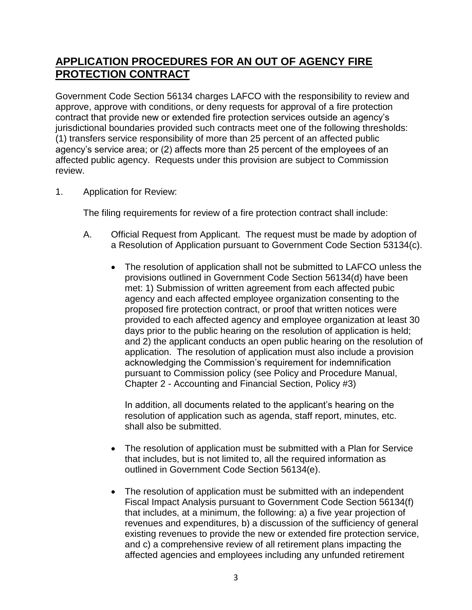## **APPLICATION PROCEDURES FOR AN OUT OF AGENCY FIRE PROTECTION CONTRACT**

Government Code Section 56134 charges LAFCO with the responsibility to review and approve, approve with conditions, or deny requests for approval of a fire protection contract that provide new or extended fire protection services outside an agency's jurisdictional boundaries provided such contracts meet one of the following thresholds: (1) transfers service responsibility of more than 25 percent of an affected public agency's service area; or (2) affects more than 25 percent of the employees of an affected public agency. Requests under this provision are subject to Commission review.

1. Application for Review:

The filing requirements for review of a fire protection contract shall include:

- A. Official Request from Applicant. The request must be made by adoption of a Resolution of Application pursuant to Government Code Section 53134(c).
	- The resolution of application shall not be submitted to LAFCO unless the provisions outlined in Government Code Section 56134(d) have been met: 1) Submission of written agreement from each affected pubic agency and each affected employee organization consenting to the proposed fire protection contract, or proof that written notices were provided to each affected agency and employee organization at least 30 days prior to the public hearing on the resolution of application is held; and 2) the applicant conducts an open public hearing on the resolution of application. The resolution of application must also include a provision acknowledging the Commission's requirement for indemnification pursuant to Commission policy (see Policy and Procedure Manual, Chapter 2 - Accounting and Financial Section, Policy #3)

In addition, all documents related to the applicant's hearing on the resolution of application such as agenda, staff report, minutes, etc. shall also be submitted.

- The resolution of application must be submitted with a Plan for Service that includes, but is not limited to, all the required information as outlined in Government Code Section 56134(e).
- The resolution of application must be submitted with an independent Fiscal Impact Analysis pursuant to Government Code Section 56134(f) that includes, at a minimum, the following: a) a five year projection of revenues and expenditures, b) a discussion of the sufficiency of general existing revenues to provide the new or extended fire protection service, and c) a comprehensive review of all retirement plans impacting the affected agencies and employees including any unfunded retirement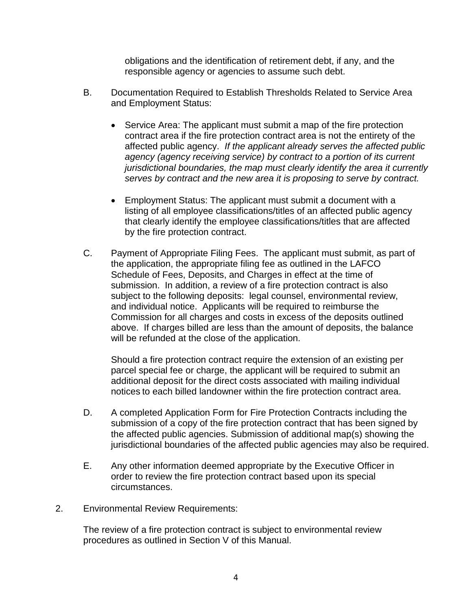obligations and the identification of retirement debt, if any, and the responsible agency or agencies to assume such debt.

- B. Documentation Required to Establish Thresholds Related to Service Area and Employment Status:
	- Service Area: The applicant must submit a map of the fire protection contract area if the fire protection contract area is not the entirety of the affected public agency. *If the applicant already serves the affected public agency (agency receiving service) by contract to a portion of its current jurisdictional boundaries, the map must clearly identify the area it currently serves by contract and the new area it is proposing to serve by contract.*
	- Employment Status: The applicant must submit a document with a listing of all employee classifications/titles of an affected public agency that clearly identify the employee classifications/titles that are affected by the fire protection contract.
- C. Payment of Appropriate Filing Fees. The applicant must submit, as part of the application, the appropriate filing fee as outlined in the LAFCO Schedule of Fees, Deposits, and Charges in effect at the time of submission. In addition, a review of a fire protection contract is also subject to the following deposits: legal counsel, environmental review, and individual notice. Applicants will be required to reimburse the Commission for all charges and costs in excess of the deposits outlined above. If charges billed are less than the amount of deposits, the balance will be refunded at the close of the application.

Should a fire protection contract require the extension of an existing per parcel special fee or charge, the applicant will be required to submit an additional deposit for the direct costs associated with mailing individual notices to each billed landowner within the fire protection contract area.

- D. A completed Application Form for Fire Protection Contracts including the submission of a copy of the fire protection contract that has been signed by the affected public agencies. Submission of additional map(s) showing the jurisdictional boundaries of the affected public agencies may also be required.
- E. Any other information deemed appropriate by the Executive Officer in order to review the fire protection contract based upon its special circumstances.
- 2. Environmental Review Requirements:

The review of a fire protection contract is subject to environmental review procedures as outlined in Section V of this Manual.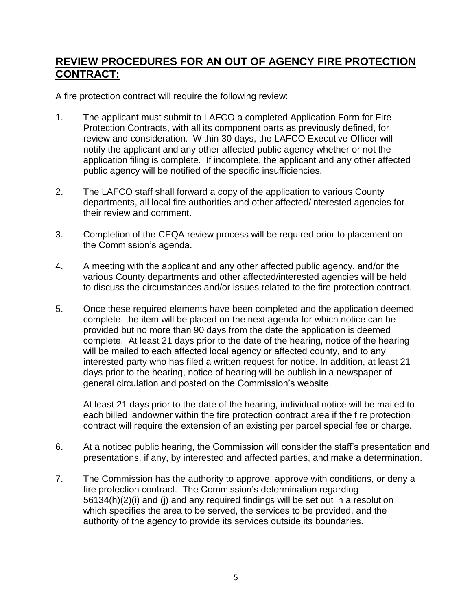## **REVIEW PROCEDURES FOR AN OUT OF AGENCY FIRE PROTECTION CONTRACT:**

A fire protection contract will require the following review:

- 1. The applicant must submit to LAFCO a completed Application Form for Fire Protection Contracts, with all its component parts as previously defined, for review and consideration. Within 30 days, the LAFCO Executive Officer will notify the applicant and any other affected public agency whether or not the application filing is complete. If incomplete, the applicant and any other affected public agency will be notified of the specific insufficiencies.
- 2. The LAFCO staff shall forward a copy of the application to various County departments, all local fire authorities and other affected/interested agencies for their review and comment.
- 3. Completion of the CEQA review process will be required prior to placement on the Commission's agenda.
- 4. A meeting with the applicant and any other affected public agency, and/or the various County departments and other affected/interested agencies will be held to discuss the circumstances and/or issues related to the fire protection contract.
- 5. Once these required elements have been completed and the application deemed complete, the item will be placed on the next agenda for which notice can be provided but no more than 90 days from the date the application is deemed complete. At least 21 days prior to the date of the hearing, notice of the hearing will be mailed to each affected local agency or affected county, and to any interested party who has filed a written request for notice. In addition, at least 21 days prior to the hearing, notice of hearing will be publish in a newspaper of general circulation and posted on the Commission's website.

At least 21 days prior to the date of the hearing, individual notice will be mailed to each billed landowner within the fire protection contract area if the fire protection contract will require the extension of an existing per parcel special fee or charge.

- 6. At a noticed public hearing, the Commission will consider the staff's presentation and presentations, if any, by interested and affected parties, and make a determination.
- 7. The Commission has the authority to approve, approve with conditions, or deny a fire protection contract. The Commission's determination regarding 56134(h)(2)(i) and (j) and any required findings will be set out in a resolution which specifies the area to be served, the services to be provided, and the authority of the agency to provide its services outside its boundaries.